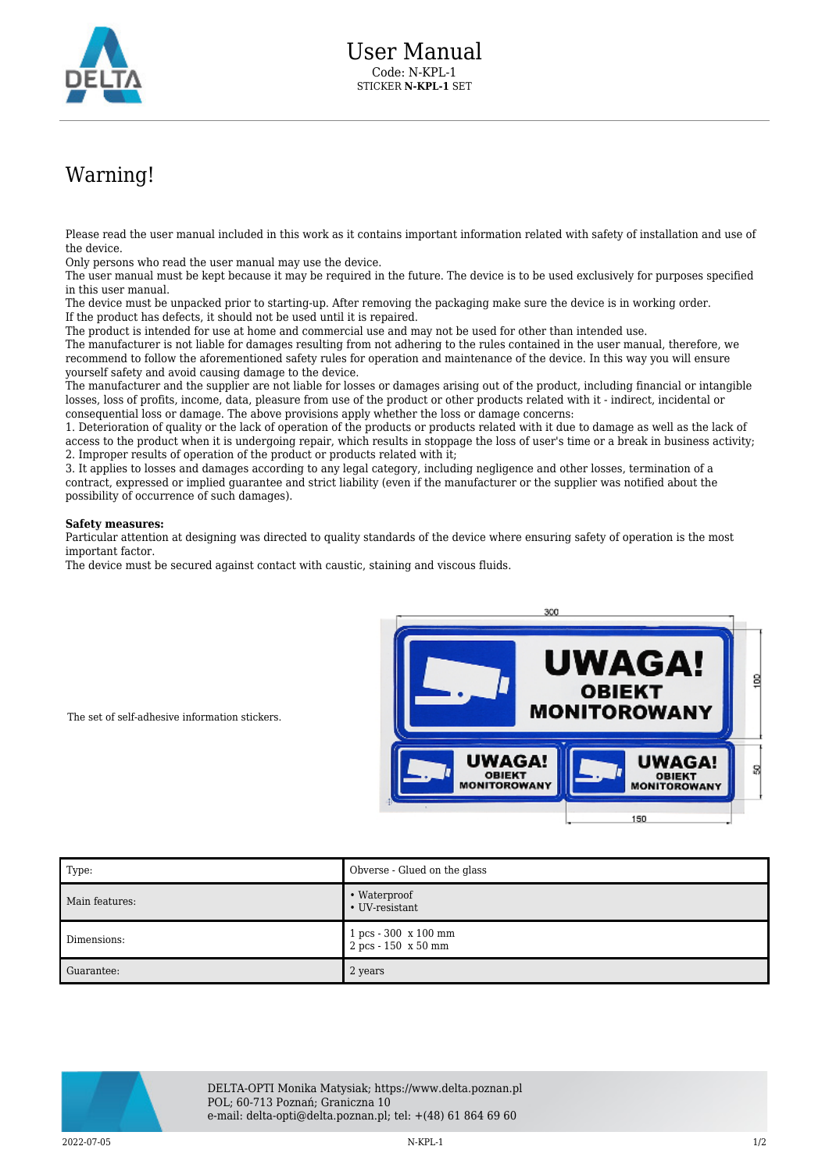

## Warning!

Please read the user manual included in this work as it contains important information related with safety of installation and use of the device.

Only persons who read the user manual may use the device.

The user manual must be kept because it may be required in the future. The device is to be used exclusively for purposes specified in this user manual.

The device must be unpacked prior to starting-up. After removing the packaging make sure the device is in working order. If the product has defects, it should not be used until it is repaired.

The product is intended for use at home and commercial use and may not be used for other than intended use.

The manufacturer is not liable for damages resulting from not adhering to the rules contained in the user manual, therefore, we recommend to follow the aforementioned safety rules for operation and maintenance of the device. In this way you will ensure yourself safety and avoid causing damage to the device.

The manufacturer and the supplier are not liable for losses or damages arising out of the product, including financial or intangible losses, loss of profits, income, data, pleasure from use of the product or other products related with it - indirect, incidental or consequential loss or damage. The above provisions apply whether the loss or damage concerns:

1. Deterioration of quality or the lack of operation of the products or products related with it due to damage as well as the lack of access to the product when it is undergoing repair, which results in stoppage the loss of user's time or a break in business activity; 2. Improper results of operation of the product or products related with it;

3. It applies to losses and damages according to any legal category, including negligence and other losses, termination of a contract, expressed or implied guarantee and strict liability (even if the manufacturer or the supplier was notified about the possibility of occurrence of such damages).

## **Safety measures:**

Particular attention at designing was directed to quality standards of the device where ensuring safety of operation is the most important factor.

The device must be secured against contact with caustic, staining and viscous fluids.



The set of self-adhesive information stickers.

| Type:          | Obverse - Glued on the glass                  |
|----------------|-----------------------------------------------|
| Main features: | • Waterproof<br>• UV-resistant                |
| Dimensions:    | 1 pcs - 300 x 100 mm<br>$2 pcs - 150 x 50 mm$ |
| Guarantee:     | 2 years                                       |



DELTA-OPTI Monika Matysiak; https://www.delta.poznan.pl POL; 60-713 Poznań; Graniczna 10 e-mail: delta-opti@delta.poznan.pl; tel: +(48) 61 864 69 60